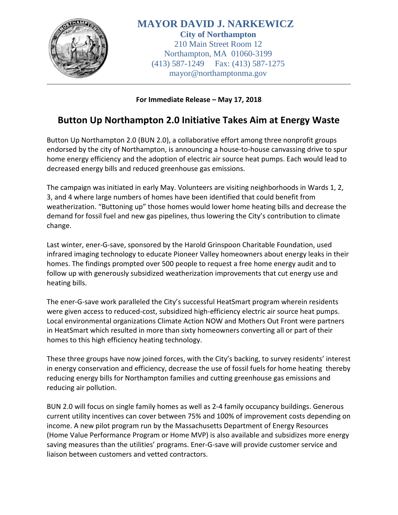

**MAYOR DAVID J. NARKEWICZ City of Northampton** 210 Main Street Room 12 Northampton, MA 01060-3199 (413) 587-1249 Fax: (413) 587-1275 mayor@northamptonma.gov

## **For Immediate Release – May 17, 2018**

## **Button Up Northampton 2.0 Initiative Takes Aim at Energy Waste**

Button Up Northampton 2.0 (BUN 2.0), a collaborative effort among three nonprofit groups endorsed by the city of Northampton, is announcing a house-to-house canvassing drive to spur home energy efficiency and the adoption of electric air source heat pumps. Each would lead to decreased energy bills and reduced greenhouse gas emissions.

The campaign was initiated in early May. Volunteers are visiting neighborhoods in Wards 1, 2, 3, and 4 where large numbers of homes have been identified that could benefit from weatherization. "Buttoning up" those homes would lower home heating bills and decrease the demand for fossil fuel and new gas pipelines, thus lowering the City's contribution to climate change.

Last winter, ener-G-save, sponsored by the Harold Grinspoon Charitable Foundation, used infrared imaging technology to educate Pioneer Valley homeowners about energy leaks in their homes. The findings prompted over 500 people to request a free home energy audit and to follow up with generously subsidized weatherization improvements that cut energy use and heating bills.

The ener-G-save work paralleled the City's successful HeatSmart program wherein residents were given access to reduced-cost, subsidized high-efficiency electric air source heat pumps. Local environmental organizations Climate Action NOW and Mothers Out Front were partners in HeatSmart which resulted in more than sixty homeowners converting all or part of their homes to this high efficiency heating technology.

These three groups have now joined forces, with the City's backing, to survey residents' interest in energy conservation and efficiency, decrease the use of fossil fuels for home heating thereby reducing energy bills for Northampton families and cutting greenhouse gas emissions and reducing air pollution.

BUN 2.0 will focus on single family homes as well as 2-4 family occupancy buildings. Generous current utility incentives can cover between 75% and 100% of improvement costs depending on income. A new pilot program run by the Massachusetts Department of Energy Resources (Home Value Performance Program or Home MVP) is also available and subsidizes more energy saving measures than the utilities' programs. Ener-G-save will provide customer service and liaison between customers and vetted contractors.